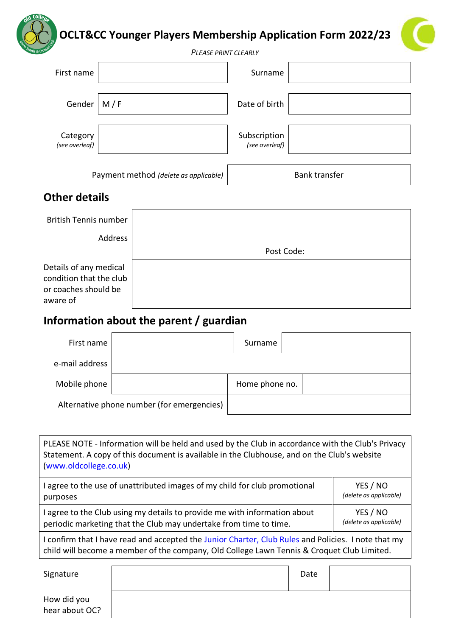

| First name                 |     | Surname                        |  |
|----------------------------|-----|--------------------------------|--|
| Gender                     | M/F | Date of birth                  |  |
| Category<br>(see overleaf) |     | Subscription<br>(see overleaf) |  |

Payment method *(delete as applicable)* Bank transfer

# **Other details**

| <b>British Tennis number</b>                                                          |            |
|---------------------------------------------------------------------------------------|------------|
| Address                                                                               |            |
|                                                                                       | Post Code: |
| Details of any medical<br>condition that the club<br>or coaches should be<br>aware of |            |

# **Information about the parent / guardian**

| First name                                 |  | Surname        |  |
|--------------------------------------------|--|----------------|--|
| e-mail address                             |  |                |  |
| Mobile phone                               |  | Home phone no. |  |
| Alternative phone number (for emergencies) |  |                |  |

| PLEASE NOTE - Information will be held and used by the Club in accordance with the Club's Privacy<br>Statement. A copy of this document is available in the Clubhouse, and on the Club's website<br>(www.oldcollege.co.uk) |                        |  |
|----------------------------------------------------------------------------------------------------------------------------------------------------------------------------------------------------------------------------|------------------------|--|
| I agree to the use of unattributed images of my child for club promotional                                                                                                                                                 | YES / NO               |  |
| purposes                                                                                                                                                                                                                   | (delete as applicable) |  |
| I agree to the Club using my details to provide me with information about                                                                                                                                                  | YES / NO               |  |
| periodic marketing that the Club may undertake from time to time.                                                                                                                                                          | (delete as applicable) |  |
| I confirm that I have read and accepted the Junior Charter, Club Rules and Policies. I note that my                                                                                                                        |                        |  |

child will become a member of the company, Old College Lawn Tennis & Croquet Club Limited.

Signature and Date and Date and Date and Date and Date and Date and Date and Date and Date and Date and Date and Date and Date and Date and Date and Date and Date and Date and Date and Date and Date and Date and Date and D How did you hear about OC?